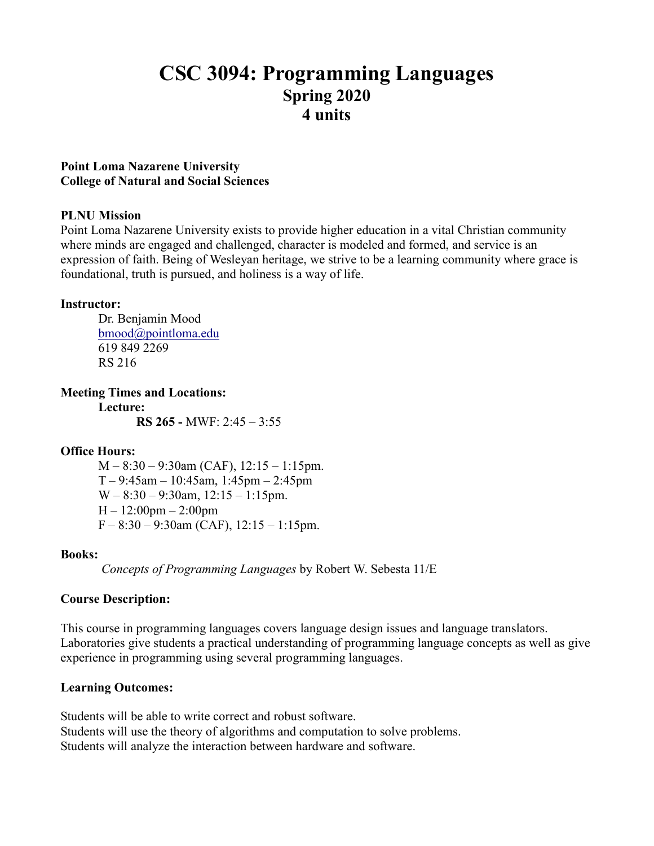# **CSC 3094: Programming Languages Spring 2020 4 units**

### **Point Loma Nazarene University College of Natural and Social Sciences**

### **PLNU Mission**

Point Loma Nazarene University exists to provide higher education in a vital Christian community where minds are engaged and challenged, character is modeled and formed, and service is an expression of faith. Being of Wesleyan heritage, we strive to be a learning community where grace is foundational, truth is pursued, and holiness is a way of life.

### **Instructor:**

Dr. Benjamin Mood [bmood@pointloma.edu](mailto:bmood@pointloma.edu) 619 849 2269 RS 216

**Meeting Times and Locations:**

**Lecture: RS 265 -** MWF: 2:45 – 3:55

### **Office Hours:**

 $M - 8:30 - 9:30$ am (CAF),  $12:15 - 1:15$ pm.  $T - 9:45$ am – 10:45am, 1:45pm – 2:45pm  $W - 8:30 - 9:30$ am,  $12:15 - 1:15$ pm.  $H - 12:00$ pm  $- 2:00$ pm  $F - 8:30 - 9:30$ am (CAF),  $12:15 - 1:15$ pm.

### **Books:**

*Concepts of Programming Languages* by Robert W. Sebesta 11/E

### **Course Description:**

This course in programming languages covers language design issues and language translators. Laboratories give students a practical understanding of programming language concepts as well as give experience in programming using several programming languages.

### **Learning Outcomes:**

Students will be able to write correct and robust software. Students will use the theory of algorithms and computation to solve problems. Students will analyze the interaction between hardware and software.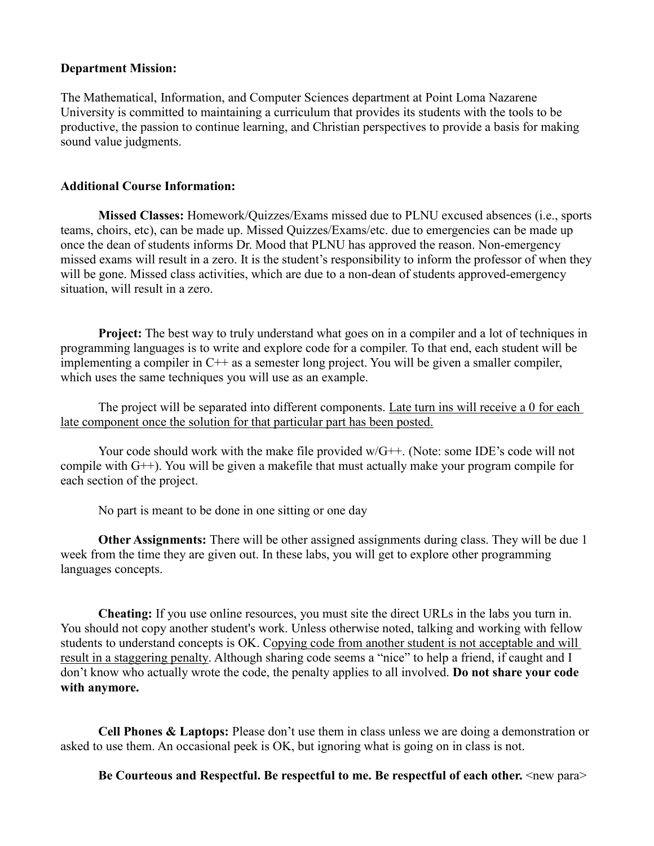### **Department Mission:**

The Mathematical, Information, and Computer Sciences department at Point Loma Nazarene University is committed to maintaining a curriculum that provides its students with the tools to be productive, the passion to continue learning, and Christian perspectives to provide a basis for making sound value judgments.

### **Additional Course Information:**

**Missed Classes:** Homework/Quizzes/Exams missed due to PLNU excused absences (i.e., sports teams, choirs, etc), can be made up. Missed Quizzes/Exams/etc. due to emergencies can be made up once the dean of students informs Dr. Mood that PLNU has approved the reason. Non-emergency missed exams will result in a zero. It is the student's responsibility to inform the professor of when they will be gone. Missed class activities, which are due to a non-dean of students approved-emergency situation, will result in a zero.

**Project:** The best way to truly understand what goes on in a compiler and a lot of techniques in programming languages is to write and explore code for a compiler. To that end, each student will be implementing a compiler in C++ as a semester long project. You will be given a smaller compiler, which uses the same techniques you will use as an example.

The project will be separated into different components. Late turn ins will receive a 0 for each late component once the solution for that particular part has been posted.

Your code should work with the make file provided w/G++. (Note: some IDE's code will not compile with G++). You will be given a makefile that must actually make your program compile for each section of the project.

No part is meant to be done in one sitting or one day

**Other Assignments:** There will be other assigned assignments during class. They will be due 1 week from the time they are given out. In these labs, you will get to explore other programming languages concepts.

**Cheating:** If you use online resources, you must site the direct URLs in the labs you turn in. You should not copy another student's work. Unless otherwise noted, talking and working with fellow students to understand concepts is OK. Copying code from another student is not acceptable and will result in a staggering penalty. Although sharing code seems a "nice" to help a friend, if caught and I don't know who actually wrote the code, the penalty applies to all involved. **Do not share your code with anymore.**

**Cell Phones & Laptops:** Please don't use them in class unless we are doing a demonstration or asked to use them. An occasional peek is OK, but ignoring what is going on in class is not.

**Be Courteous and Respectful. Be respectful to me. Be respectful of each other.** <new para>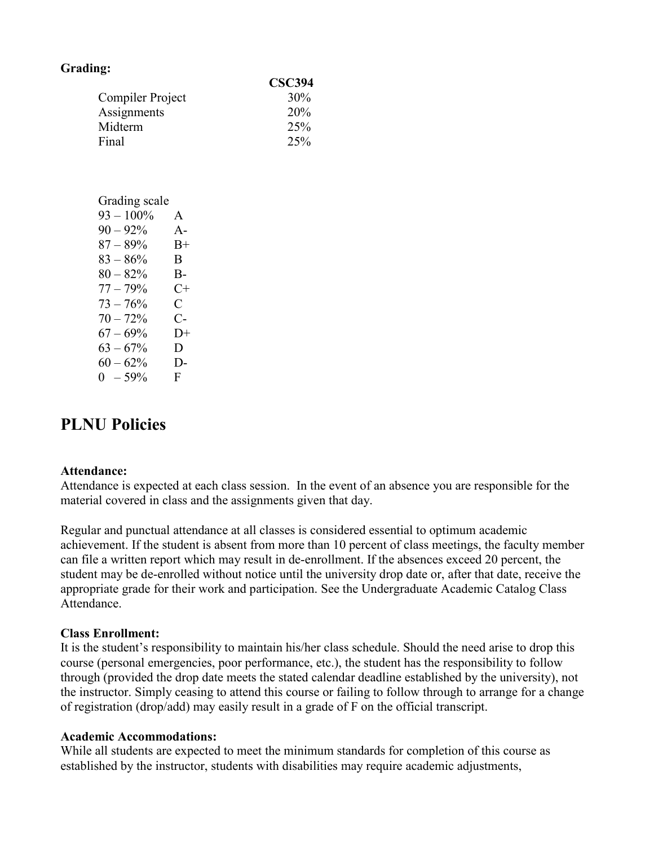| Grading:         |              |               |
|------------------|--------------|---------------|
|                  |              | <b>CSC394</b> |
| Compiler Project | 30%          |               |
| Assignments      | 20%          |               |
| Midterm          |              | 25%           |
| Final            |              | 25%           |
|                  |              |               |
|                  |              |               |
| Grading scale    |              |               |
| $93 - 100\%$     | $\mathsf{A}$ |               |
| $90 - 92\%$ A-   |              |               |
| $87 - 89\%$ B+   |              |               |
| $83 - 86\%$      | B            |               |
| $80-82\%$        | $B-$         |               |
| $77 - 79\%$ C+   |              |               |
| $73 - 76\%$      | $\mathbf{C}$ |               |
| $70 - 72\%$      | $C-$         |               |
| $67 - 69\%$      | $D+$         |               |
| $63 - 67\%$      | D            |               |
| $60 - 62\%$      | $D-$         |               |
| $0 - 59\%$       | F            |               |

## **PLNU Policies**

### **Attendance:**

Attendance is expected at each class session. In the event of an absence you are responsible for the material covered in class and the assignments given that day.

Regular and punctual attendance at all classes is considered essential to optimum academic achievement. If the student is absent from more than 10 percent of class meetings, the faculty member can file a written report which may result in de-enrollment. If the absences exceed 20 percent, the student may be de-enrolled without notice until the university drop date or, after that date, receive the appropriate grade for their work and participation. See the Undergraduate Academic Catalog [Class](https://catalog.pointloma.edu/content.php?catoid=35&navoid=2136#Class_Attendance)  [Attendance.](https://catalog.pointloma.edu/content.php?catoid=35&navoid=2136#Class_Attendance)

### **Class Enrollment:**

It is the student's responsibility to maintain his/her class schedule. Should the need arise to drop this course (personal emergencies, poor performance, etc.), the student has the responsibility to follow through (provided the drop date meets the stated calendar deadline established by the university), not the instructor. Simply ceasing to attend this course or failing to follow through to arrange for a change of registration (drop/add) may easily result in a grade of F on the official transcript.

#### **Academic Accommodations:**

While all students are expected to meet the minimum standards for completion of this course as established by the instructor, students with disabilities may require academic adjustments,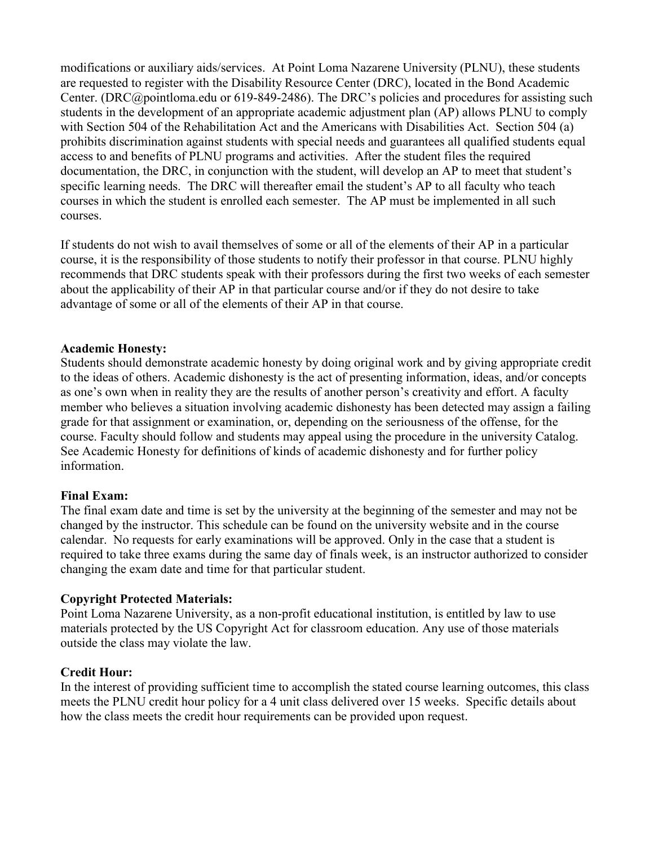modifications or auxiliary aids/services. At Point Loma Nazarene University (PLNU), these students are requested to register with the Disability Resource Center (DRC), located in the Bond Academic Center. [\(DRC@pointloma.edu](mailto:DRC@pointloma.edu) or 619-849-2486). The DRC's policies and procedures for assisting such students in the development of an appropriate academic adjustment plan (AP) allows PLNU to comply with Section 504 of the Rehabilitation Act and the Americans with Disabilities Act. Section 504 (a) prohibits discrimination against students with special needs and guarantees all qualified students equal access to and benefits of PLNU programs and activities. After the student files the required documentation, the DRC, in conjunction with the student, will develop an AP to meet that student's specific learning needs. The DRC will thereafter email the student's AP to all faculty who teach courses in which the student is enrolled each semester. The AP must be implemented in all such courses.

If students do not wish to avail themselves of some or all of the elements of their AP in a particular course, it is the responsibility of those students to notify their professor in that course. PLNU highly recommends that DRC students speak with their professors during the first two weeks of each semester about the applicability of their AP in that particular course and/or if they do not desire to take advantage of some or all of the elements of their AP in that course.

### **Academic Honesty:**

Students should demonstrate academic honesty by doing original work and by giving appropriate credit to the ideas of others. Academic dishonesty is the act of presenting information, ideas, and/or concepts as one's own when in reality they are the results of another person's creativity and effort. A faculty member who believes a situation involving academic dishonesty has been detected may assign a failing grade for that assignment or examination, or, depending on the seriousness of the offense, for the course. Faculty should follow and students may appeal using the procedure in the university Catalog. See [Academic Honesty](https://catalog.pointloma.edu/content.php?catoid=35&navoid=2136#Academic_Honesty) for definitions of kinds of academic dishonesty and for further policy information.

### **Final Exam:**

The final exam date and time is set by the university at the beginning of the semester and may not be changed by the instructor. This schedule can be found on the university website and in the course calendar. No requests for early examinations will be approved. Only in the case that a student is required to take three exams during the same day of finals week, is an instructor authorized to consider changing the exam date and time for that particular student.

### **Copyright Protected Materials:**

Point Loma Nazarene University, as a non-profit educational institution, is entitled by law to use materials protected by the US Copyright Act for classroom education. Any use of those materials outside the class may violate the law.

### **Credit Hour:**

In the interest of providing sufficient time to accomplish the stated course learning outcomes, this class meets the PLNU credit hour policy for a 4 unit class delivered over 15 weeks. Specific details about how the class meets the credit hour requirements can be provided upon request.